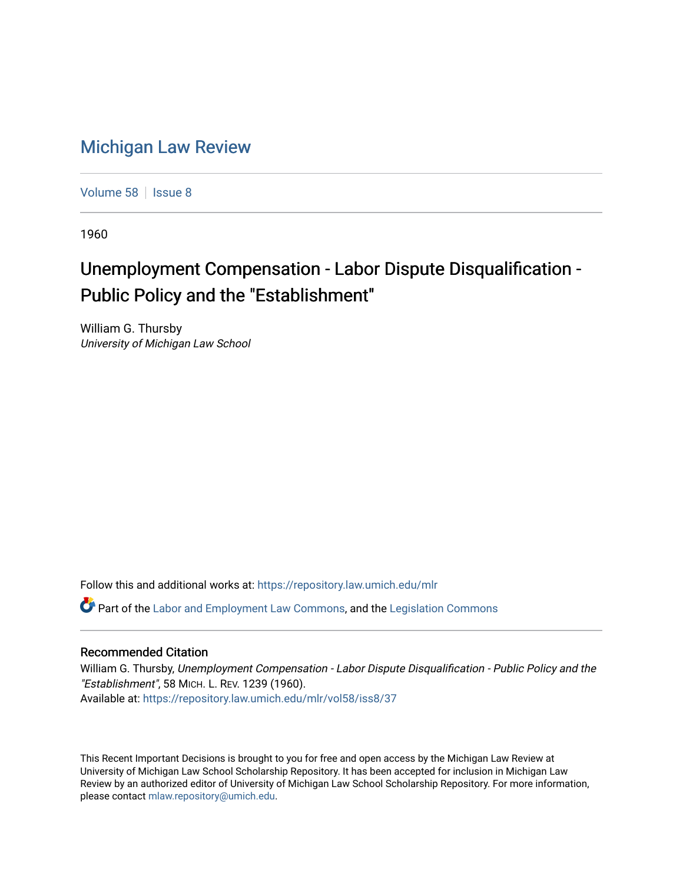## [Michigan Law Review](https://repository.law.umich.edu/mlr)

[Volume 58](https://repository.law.umich.edu/mlr/vol58) | [Issue 8](https://repository.law.umich.edu/mlr/vol58/iss8)

1960

## Unemployment Compensation - Labor Dispute Disqualification - Public Policy and the "Establishment"

William G. Thursby University of Michigan Law School

Follow this and additional works at: [https://repository.law.umich.edu/mlr](https://repository.law.umich.edu/mlr?utm_source=repository.law.umich.edu%2Fmlr%2Fvol58%2Fiss8%2F37&utm_medium=PDF&utm_campaign=PDFCoverPages) 

 $\bullet$  Part of the [Labor and Employment Law Commons](http://network.bepress.com/hgg/discipline/909?utm_source=repository.law.umich.edu%2Fmlr%2Fvol58%2Fiss8%2F37&utm_medium=PDF&utm_campaign=PDFCoverPages), and the Legislation Commons

## Recommended Citation

William G. Thursby, Unemployment Compensation - Labor Dispute Disqualification - Public Policy and the "Establishment", 58 MICH. L. REV. 1239 (1960). Available at: [https://repository.law.umich.edu/mlr/vol58/iss8/37](https://repository.law.umich.edu/mlr/vol58/iss8/37?utm_source=repository.law.umich.edu%2Fmlr%2Fvol58%2Fiss8%2F37&utm_medium=PDF&utm_campaign=PDFCoverPages) 

This Recent Important Decisions is brought to you for free and open access by the Michigan Law Review at University of Michigan Law School Scholarship Repository. It has been accepted for inclusion in Michigan Law Review by an authorized editor of University of Michigan Law School Scholarship Repository. For more information, please contact [mlaw.repository@umich.edu.](mailto:mlaw.repository@umich.edu)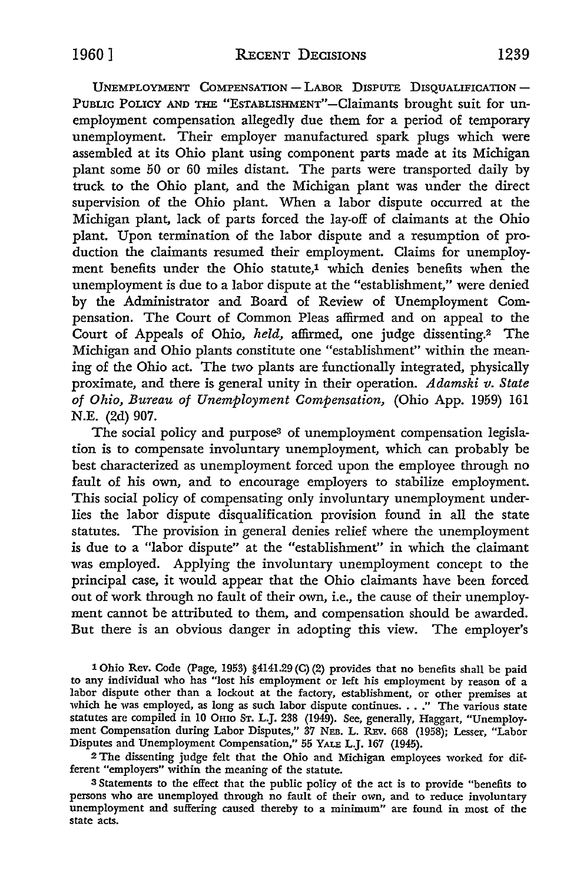UNEMPLOYMENT COMPENSATION - LABOR DISPUTE DISOUALIFICATION -PUBLIC POLICY AND THE "ESTABLISHMENT"-Claimants brought suit for unemployment compensation allegedly due them for a period of temporary unemployment. Their employer manufactured spark plugs which were assembled at its Ohio plant using component parts made at its Michigan plant some 50 or 60 miles distant. The parts were transported daily by truck to the Ohio plant, and the Michigan plant was under the direct supervision of the Ohio plant. When a labor dispute occurred at the Michigan plant, lack of parts forced the lay-off of claimants at the Ohio plant. Upon termination of the labor dispute and a resumption of production the claimants resumed their employment. Claims for unemployment benefits under the Ohio statute,<sup>1</sup> which denies benefits when the unemployment is due to a labor dispute at the "establishment," were denied by the Administrator and Board of Review of Unemployment Compensation. The Court of Common Pleas affirmed and on appeal to the Court of Appeals of Ohio, *held,* affirmed, one judge dissenting.2 The Michigan and Ohio plants constitute one "establishment" within the meaning of the Ohio act. The two plants are functionally integrated, physically proximate, and there is general unity in their operation. *Adamski v. State of Ohio, Bureau of Unemployment Compensation,* (Ohio App. 1959) 161 N.E. (2d) 907.

The social policy and purpose<sup>3</sup> of unemployment compensation legislation is to compensate involuntary unemployment, which can probably be best characterized as unemployment forced upon the employee through no fault of his own, and to encourage employers to stabilize employment. This social policy of compensating only involuntary unemployment underlies the labor dispute disqualification provision found in all the state statutes. The provision in general denies relief where the unemployment is due to a "labor dispute" at the "establishment" in which the claimant was employed. Applying the involuntary unemployment concept to the principal case, it would appear that the Ohio claimants have been forced out of work through no fault of their own, i.e., the cause of their unemployment cannot be attributed to them, and compensation should be awarded. But there is an obvious danger in adopting this view. The employer's

1 Ohio Rev. Code (Page, 1953) §4141.29 (C) (2) provides that no benefits shall be paid to any individual who has "lost his employment or left his employment by reason of a labor dispute other than a lockout at the factory, establishment, or other premises at which he was employed, as long as such labor dispute continues . . ." The various state statutes are compiled in IO Omo ST. L.J. 238 (1949). See, generally, Haggart, "Unemployment Compensation during Labor Disputes," 37 NEB. L. REV. 668 (1958); Lesser, "Labor Disputes and Unemployment Compensation," 55 YALE L.J. 167 (1945).

2 The dissenting judge felt that the Ohio and Michigan employees worked for different "employers" within the meaning of the statute.

<sup>3</sup>Statements to the effect that the public policy of the act is to provide "benefits to persons who are unemployed through no fault of their own, and to reduce involuntary unemployment and suffering caused thereby to a minimum" are found in most of the state acts.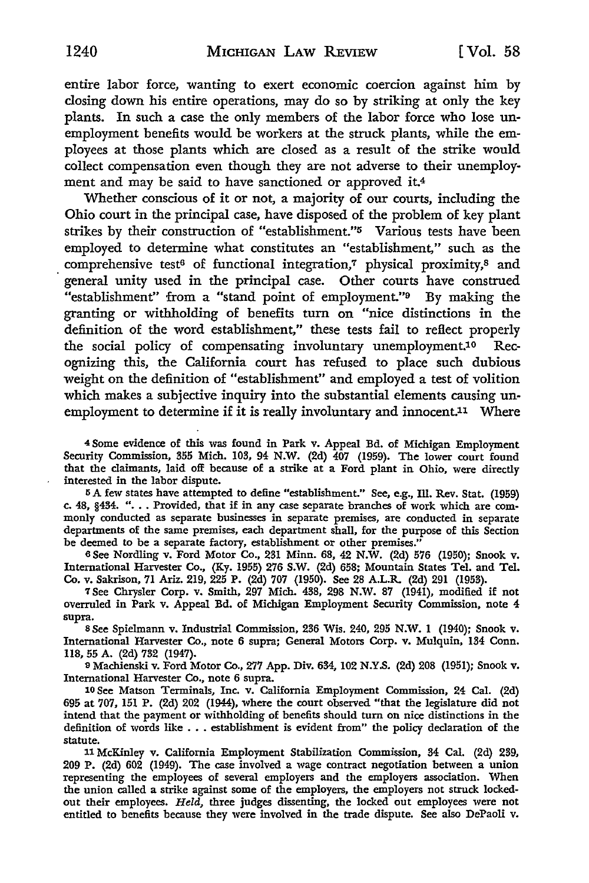entire labor force, wanting to exert economic coercion against him by closing down his entire operations, may do so by striking at only the key plants. In such a case the only members of the labor force who lose unemployment benefits would be workers at the struck plants, while the employees at those plants which are closed as a result of the strike would collect compensation even though they are not adverse to their unemployment and may be said to have sanctioned or approved it.<sup>4</sup>

Whether conscious of it or not, a majority of our courts, including the Ohio court in the principal case, have disposed of the problem of key plant strikes by their construction of "establishment."5 Various tests have been employed to determine what constitutes an "establishment," such as the comprehensive test<sup>6</sup> of functional integration,7 physical proximity,8 and general unity used in the principal case. Other courts have construed "establishment" from a "stand point of employment."9 By making the granting or withholding of benefits tum on "nice distinctions in the definition of the word establishment," these tests fail to reflect properly the social policy of compensating involuntary unemployment.10 Recognizing this, the California court has refused to place such dubious weight on the definition of "establishment" and employed a test of volition which makes a subjective inquiry into the substantial elements causing unemployment to determine if it is really involuntary and innocent.<sup>11</sup> Where

<sup>4</sup>Some evidence of this was found in Park v. Appeal Bd. of Michigan Employment Security Commission, 355 Mich. 103, 94 N.W. (2d) 407 (1959). The lower court found that the claimants, laid off because of a strike at a Ford plant in Ohio, were directly interested in the labor dispute.

5 A few states have attempted to define "establishment." See, e.g., Ill. Rev. Stat. (1959) c. 48, §434. "... Provided, that if in any case separate branches of work which are commonly conducted as separate businesses in separate premises, are conducted in separate departments of the same premises, each department shall, for the purpose of this Section be deemed to be a separate factory, establishment or other premises."

6 See Nordling v. Ford Motor Co., 231 Minn. 68, 42 N.W. {2d) 576 (1950); Snook v. International Harvester Co., (Ky. 1955) 276 S.W. (2d) 658; Mountain States Tel. and Tel. Co. v. Sakrison, 71 Ariz. 219, 225 P. (2d) 707 (1950). See 28 A.L.R. (2d) 291 (1953).

7 See Chrysler Corp. v. Smith, 297 Mich. 438, 298 N.W. 87 (1941), modified if not overruled in Park v. Appeal Bd. of Michigan Employment Security Commission, note 4 supra.

s See Spielmann v. Industrial Commission, 236 Wis. 240, 295 N.W. I (1940); Snook v. International Harvester Co., note 6 supra; General Motors Corp. v. Mulquin, 134 Conn. ll8, 55 A. (2d) 732 (1947).

11 Machienski v. Ford Motor Co., 277 App. Div. 634, 102 N.Y.S. (2d) 208 (1951); Snook v. International Harvester Co., note 6 supra.

10 See Matson Terminals, Inc. v. California Employment Commission, 24 Cal. (2d) 695 at 707, 151 P. (2d) 202 (1944), where the court observed "that the legislature did not intend that the payment or withholding of benefits should tum on nice distinctions in the definition of words like . . . establishment is evident from" the policy declaration of the statute.

11 McKinley v. California Employment Stabilization Commission, 34 Cal. (2d) 239, 209 P. (2d) 602 (1949). The case involved a wage contract negotiation between a union representing the employees of several employers and the employers association. When the union called a strike against some of the employers, the employers not struck lockedout their employees. *Held,* three judges dissenting, the locked out employees were not entitled to benefits because they were involved in the trade dispute. See also DePaoli v.